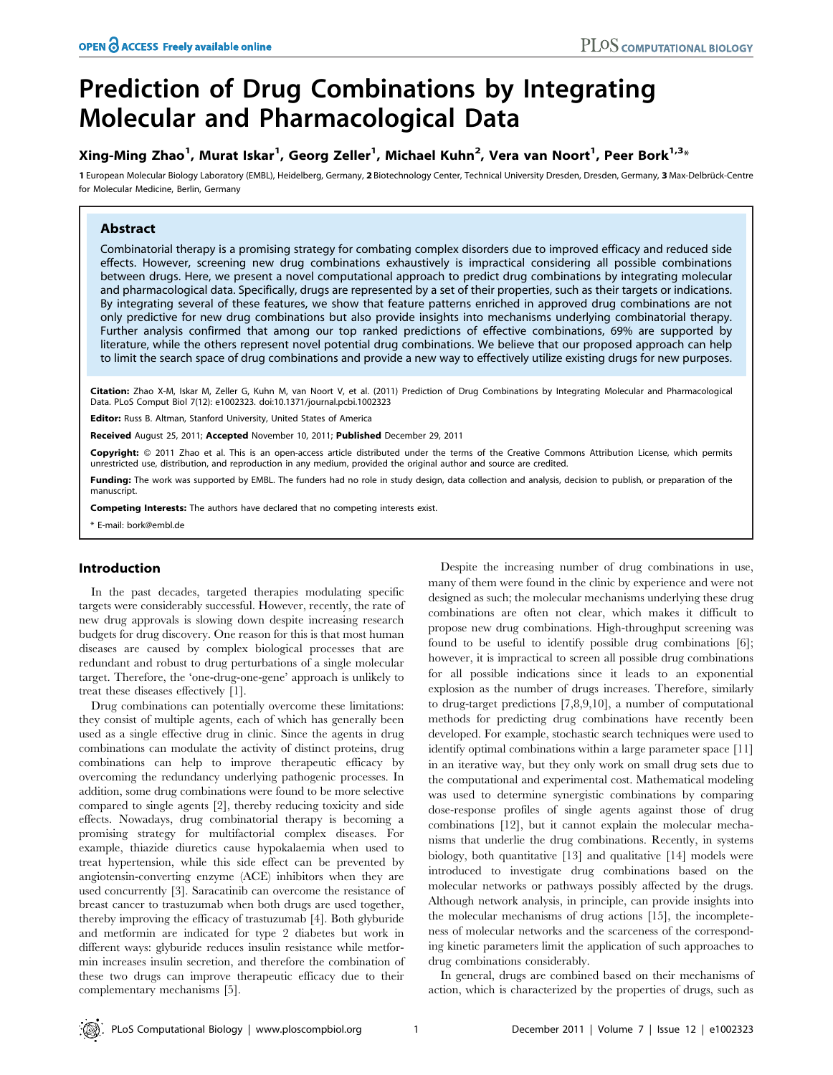# Prediction of Drug Combinations by Integrating Molecular and Pharmacological Data

## Xing-Ming Zhao $^1$ , Murat Iskar $^1$ , Georg Zeller $^1$ , Michael Kuhn $^2$ , Vera van Noort $^1$ , Peer Bork $^{1,3_\ast}$

1 European Molecular Biology Laboratory (EMBL), Heidelberg, Germany, 2 Biotechnology Center, Technical University Dresden, Dresden, Germany, 3 Max-Delbrück-Centre for Molecular Medicine, Berlin, Germany

## Abstract

Combinatorial therapy is a promising strategy for combating complex disorders due to improved efficacy and reduced side effects. However, screening new drug combinations exhaustively is impractical considering all possible combinations between drugs. Here, we present a novel computational approach to predict drug combinations by integrating molecular and pharmacological data. Specifically, drugs are represented by a set of their properties, such as their targets or indications. By integrating several of these features, we show that feature patterns enriched in approved drug combinations are not only predictive for new drug combinations but also provide insights into mechanisms underlying combinatorial therapy. Further analysis confirmed that among our top ranked predictions of effective combinations, 69% are supported by literature, while the others represent novel potential drug combinations. We believe that our proposed approach can help to limit the search space of drug combinations and provide a new way to effectively utilize existing drugs for new purposes.

Citation: Zhao X-M, Iskar M, Zeller G, Kuhn M, van Noort V, et al. (2011) Prediction of Drug Combinations by Integrating Molecular and Pharmacological Data. PLoS Comput Biol 7(12): e1002323. doi:10.1371/journal.pcbi.1002323

Editor: Russ B. Altman, Stanford University, United States of America

Received August 25, 2011; Accepted November 10, 2011; Published December 29, 2011

Copyright: @ 2011 Zhao et al. This is an open-access article distributed under the terms of the Creative Commons Attribution License, which permits unrestricted use, distribution, and reproduction in any medium, provided the original author and source are credited.

Funding: The work was supported by EMBL. The funders had no role in study design, data collection and analysis, decision to publish, or preparation of the manuscript.

Competing Interests: The authors have declared that no competing interests exist.

\* E-mail: bork@embl.de

## Introduction

In the past decades, targeted therapies modulating specific targets were considerably successful. However, recently, the rate of new drug approvals is slowing down despite increasing research budgets for drug discovery. One reason for this is that most human diseases are caused by complex biological processes that are redundant and robust to drug perturbations of a single molecular target. Therefore, the 'one-drug-one-gene' approach is unlikely to treat these diseases effectively [1].

Drug combinations can potentially overcome these limitations: they consist of multiple agents, each of which has generally been used as a single effective drug in clinic. Since the agents in drug combinations can modulate the activity of distinct proteins, drug combinations can help to improve therapeutic efficacy by overcoming the redundancy underlying pathogenic processes. In addition, some drug combinations were found to be more selective compared to single agents [2], thereby reducing toxicity and side effects. Nowadays, drug combinatorial therapy is becoming a promising strategy for multifactorial complex diseases. For example, thiazide diuretics cause hypokalaemia when used to treat hypertension, while this side effect can be prevented by angiotensin-converting enzyme (ACE) inhibitors when they are used concurrently [3]. Saracatinib can overcome the resistance of breast cancer to trastuzumab when both drugs are used together, thereby improving the efficacy of trastuzumab [4]. Both glyburide and metformin are indicated for type 2 diabetes but work in different ways: glyburide reduces insulin resistance while metformin increases insulin secretion, and therefore the combination of these two drugs can improve therapeutic efficacy due to their complementary mechanisms [5].

Despite the increasing number of drug combinations in use, many of them were found in the clinic by experience and were not designed as such; the molecular mechanisms underlying these drug combinations are often not clear, which makes it difficult to propose new drug combinations. High-throughput screening was found to be useful to identify possible drug combinations [6]; however, it is impractical to screen all possible drug combinations for all possible indications since it leads to an exponential explosion as the number of drugs increases. Therefore, similarly to drug-target predictions [7,8,9,10], a number of computational methods for predicting drug combinations have recently been developed. For example, stochastic search techniques were used to identify optimal combinations within a large parameter space [11] in an iterative way, but they only work on small drug sets due to the computational and experimental cost. Mathematical modeling was used to determine synergistic combinations by comparing dose-response profiles of single agents against those of drug combinations [12], but it cannot explain the molecular mechanisms that underlie the drug combinations. Recently, in systems biology, both quantitative [13] and qualitative [14] models were introduced to investigate drug combinations based on the molecular networks or pathways possibly affected by the drugs. Although network analysis, in principle, can provide insights into the molecular mechanisms of drug actions [15], the incompleteness of molecular networks and the scarceness of the corresponding kinetic parameters limit the application of such approaches to drug combinations considerably.

In general, drugs are combined based on their mechanisms of action, which is characterized by the properties of drugs, such as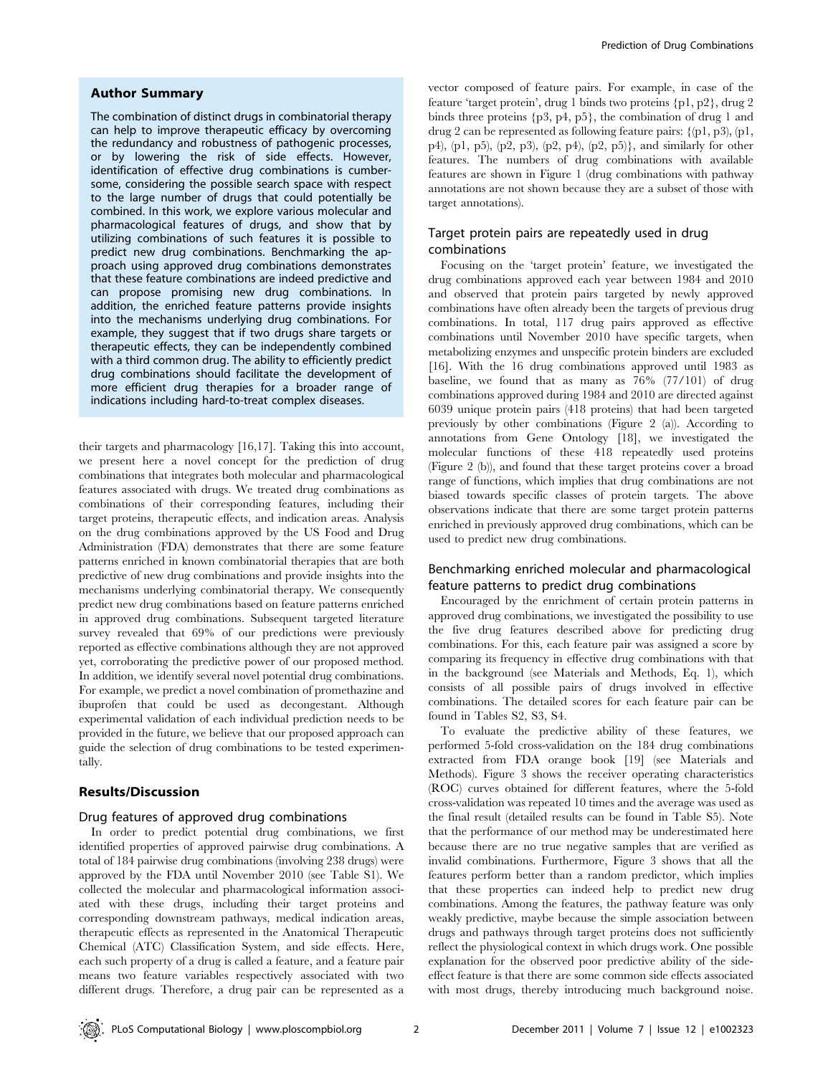## Author Summary

The combination of distinct drugs in combinatorial therapy can help to improve therapeutic efficacy by overcoming the redundancy and robustness of pathogenic processes, or by lowering the risk of side effects. However, identification of effective drug combinations is cumbersome, considering the possible search space with respect to the large number of drugs that could potentially be combined. In this work, we explore various molecular and pharmacological features of drugs, and show that by utilizing combinations of such features it is possible to predict new drug combinations. Benchmarking the approach using approved drug combinations demonstrates that these feature combinations are indeed predictive and can propose promising new drug combinations. In addition, the enriched feature patterns provide insights into the mechanisms underlying drug combinations. For example, they suggest that if two drugs share targets or therapeutic effects, they can be independently combined with a third common drug. The ability to efficiently predict drug combinations should facilitate the development of more efficient drug therapies for a broader range of indications including hard-to-treat complex diseases.

their targets and pharmacology [16,17]. Taking this into account, we present here a novel concept for the prediction of drug combinations that integrates both molecular and pharmacological features associated with drugs. We treated drug combinations as combinations of their corresponding features, including their target proteins, therapeutic effects, and indication areas. Analysis on the drug combinations approved by the US Food and Drug Administration (FDA) demonstrates that there are some feature patterns enriched in known combinatorial therapies that are both predictive of new drug combinations and provide insights into the mechanisms underlying combinatorial therapy. We consequently predict new drug combinations based on feature patterns enriched in approved drug combinations. Subsequent targeted literature survey revealed that  $69\%$  of our predictions were previously reported as effective combinations although they are not approved yet, corroborating the predictive power of our proposed method. In addition, we identify several novel potential drug combinations. For example, we predict a novel combination of promethazine and ibuprofen that could be used as decongestant. Although experimental validation of each individual prediction needs to be provided in the future, we believe that our proposed approach can guide the selection of drug combinations to be tested experimentally.

## Results/Discussion

## Drug features of approved drug combinations

In order to predict potential drug combinations, we first identified properties of approved pairwise drug combinations. A total of 184 pairwise drug combinations (involving 238 drugs) were approved by the FDA until November 2010 (see Table S1). We collected the molecular and pharmacological information associated with these drugs, including their target proteins and corresponding downstream pathways, medical indication areas, therapeutic effects as represented in the Anatomical Therapeutic Chemical (ATC) Classification System, and side effects. Here, each such property of a drug is called a feature, and a feature pair means two feature variables respectively associated with two different drugs. Therefore, a drug pair can be represented as a

vector composed of feature pairs. For example, in case of the feature 'target protein', drug 1 binds two proteins {p1, p2}, drug 2 binds three proteins {p3, p4, p5}, the combination of drug 1 and drug 2 can be represented as following feature pairs: {(p1, p3), (p1, p4), (p1, p5), (p2, p3), (p2, p4), (p2, p5)}, and similarly for other features. The numbers of drug combinations with available features are shown in Figure 1 (drug combinations with pathway annotations are not shown because they are a subset of those with target annotations).

## Target protein pairs are repeatedly used in drug combinations

Focusing on the 'target protein' feature, we investigated the drug combinations approved each year between 1984 and 2010 and observed that protein pairs targeted by newly approved combinations have often already been the targets of previous drug combinations. In total, 117 drug pairs approved as effective combinations until November 2010 have specific targets, when metabolizing enzymes and unspecific protein binders are excluded [16]. With the 16 drug combinations approved until 1983 as baseline, we found that as many as 76% (77/101) of drug combinations approved during 1984 and 2010 are directed against 6039 unique protein pairs (418 proteins) that had been targeted previously by other combinations (Figure 2 (a)). According to annotations from Gene Ontology [18], we investigated the molecular functions of these 418 repeatedly used proteins (Figure 2 (b)), and found that these target proteins cover a broad range of functions, which implies that drug combinations are not biased towards specific classes of protein targets. The above observations indicate that there are some target protein patterns enriched in previously approved drug combinations, which can be used to predict new drug combinations.

## Benchmarking enriched molecular and pharmacological feature patterns to predict drug combinations

Encouraged by the enrichment of certain protein patterns in approved drug combinations, we investigated the possibility to use the five drug features described above for predicting drug combinations. For this, each feature pair was assigned a score by comparing its frequency in effective drug combinations with that in the background (see Materials and Methods, Eq. 1), which consists of all possible pairs of drugs involved in effective combinations. The detailed scores for each feature pair can be found in Tables S2, S3, S4.

To evaluate the predictive ability of these features, we performed 5-fold cross-validation on the 184 drug combinations extracted from FDA orange book [19] (see Materials and Methods). Figure 3 shows the receiver operating characteristics (ROC) curves obtained for different features, where the 5-fold cross-validation was repeated 10 times and the average was used as the final result (detailed results can be found in Table S5). Note that the performance of our method may be underestimated here because there are no true negative samples that are verified as invalid combinations. Furthermore, Figure 3 shows that all the features perform better than a random predictor, which implies that these properties can indeed help to predict new drug combinations. Among the features, the pathway feature was only weakly predictive, maybe because the simple association between drugs and pathways through target proteins does not sufficiently reflect the physiological context in which drugs work. One possible explanation for the observed poor predictive ability of the sideeffect feature is that there are some common side effects associated with most drugs, thereby introducing much background noise.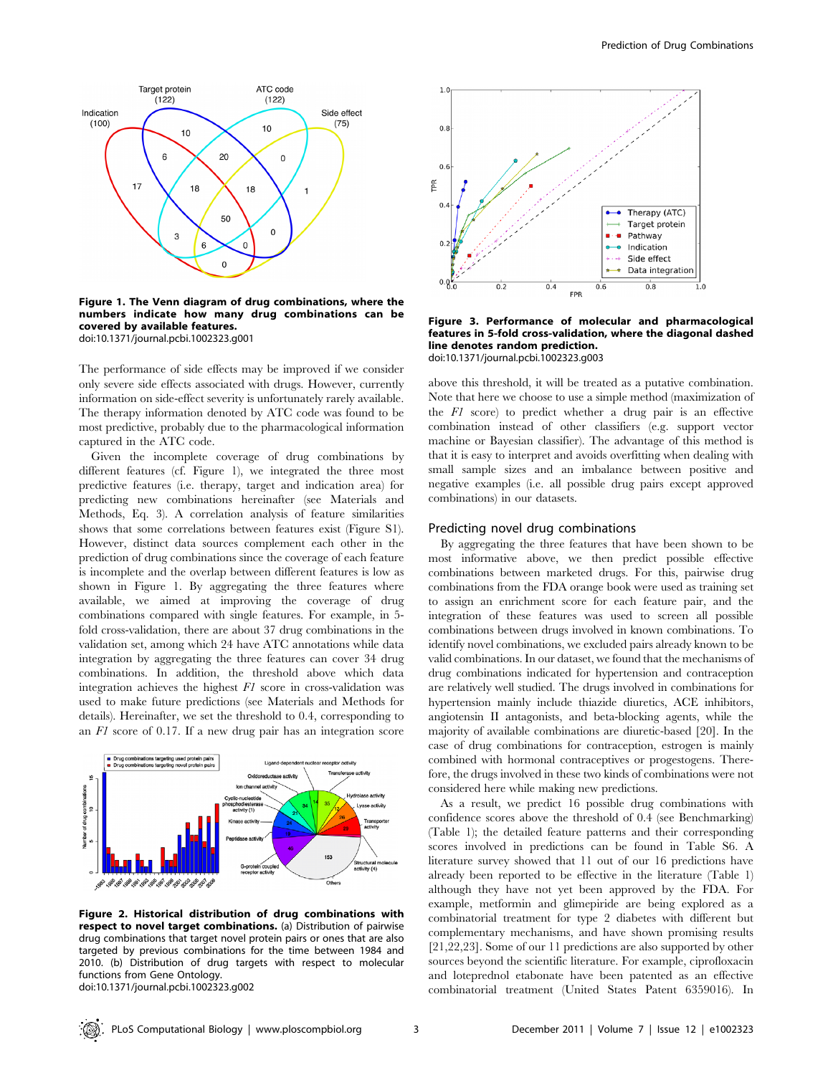

Figure 1. The Venn diagram of drug combinations, where the numbers indicate how many drug combinations can be covered by available features. doi:10.1371/journal.pcbi.1002323.g001

The performance of side effects may be improved if we consider only severe side effects associated with drugs. However, currently information on side-effect severity is unfortunately rarely available. The therapy information denoted by ATC code was found to be most predictive, probably due to the pharmacological information captured in the ATC code.

Given the incomplete coverage of drug combinations by different features (cf. Figure 1), we integrated the three most predictive features (i.e. therapy, target and indication area) for predicting new combinations hereinafter (see Materials and Methods, Eq. 3). A correlation analysis of feature similarities shows that some correlations between features exist (Figure S1). However, distinct data sources complement each other in the prediction of drug combinations since the coverage of each feature is incomplete and the overlap between different features is low as shown in Figure 1. By aggregating the three features where available, we aimed at improving the coverage of drug combinations compared with single features. For example, in 5 fold cross-validation, there are about 37 drug combinations in the validation set, among which 24 have ATC annotations while data integration by aggregating the three features can cover 34 drug combinations. In addition, the threshold above which data integration achieves the highest F1 score in cross-validation was used to make future predictions (see Materials and Methods for details). Hereinafter, we set the threshold to 0.4, corresponding to an F1 score of 0.17. If a new drug pair has an integration score



Figure 2. Historical distribution of drug combinations with respect to novel target combinations. (a) Distribution of pairwise drug combinations that target novel protein pairs or ones that are also targeted by previous combinations for the time between 1984 and 2010. (b) Distribution of drug targets with respect to molecular functions from Gene Ontology. doi:10.1371/journal.pcbi.1002323.g002



Figure 3. Performance of molecular and pharmacological features in 5-fold cross-validation, where the diagonal dashed line denotes random prediction. doi:10.1371/journal.pcbi.1002323.g003

above this threshold, it will be treated as a putative combination. Note that here we choose to use a simple method (maximization of the F1 score) to predict whether a drug pair is an effective combination instead of other classifiers (e.g. support vector machine or Bayesian classifier). The advantage of this method is that it is easy to interpret and avoids overfitting when dealing with small sample sizes and an imbalance between positive and negative examples (i.e. all possible drug pairs except approved combinations) in our datasets.

#### Predicting novel drug combinations

By aggregating the three features that have been shown to be most informative above, we then predict possible effective combinations between marketed drugs. For this, pairwise drug combinations from the FDA orange book were used as training set to assign an enrichment score for each feature pair, and the integration of these features was used to screen all possible combinations between drugs involved in known combinations. To identify novel combinations, we excluded pairs already known to be valid combinations. In our dataset, we found that the mechanisms of drug combinations indicated for hypertension and contraception are relatively well studied. The drugs involved in combinations for hypertension mainly include thiazide diuretics, ACE inhibitors, angiotensin II antagonists, and beta-blocking agents, while the majority of available combinations are diuretic-based [20]. In the case of drug combinations for contraception, estrogen is mainly combined with hormonal contraceptives or progestogens. Therefore, the drugs involved in these two kinds of combinations were not considered here while making new predictions.

As a result, we predict 16 possible drug combinations with confidence scores above the threshold of 0.4 (see Benchmarking) (Table 1); the detailed feature patterns and their corresponding scores involved in predictions can be found in Table S6. A literature survey showed that 11 out of our 16 predictions have already been reported to be effective in the literature (Table 1) although they have not yet been approved by the FDA. For example, metformin and glimepiride are being explored as a combinatorial treatment for type 2 diabetes with different but complementary mechanisms, and have shown promising results [21,22,23]. Some of our 11 predictions are also supported by other sources beyond the scientific literature. For example, ciprofloxacin and loteprednol etabonate have been patented as an effective combinatorial treatment (United States Patent 6359016). In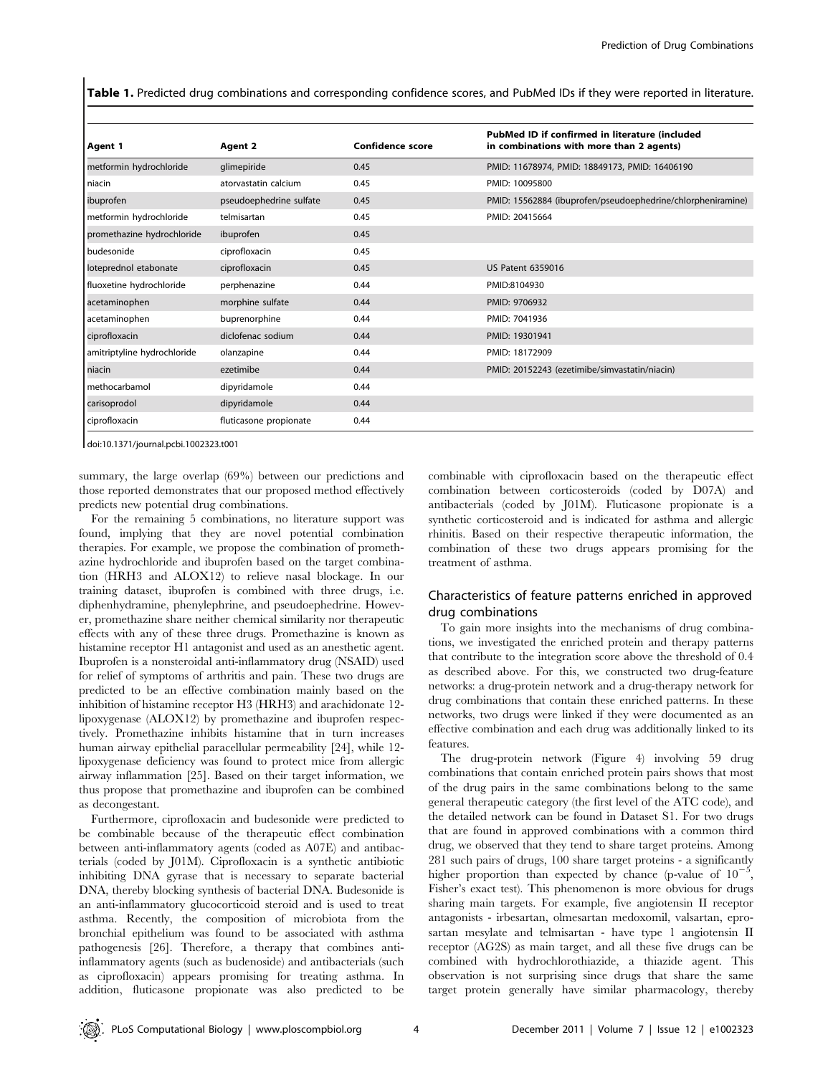Table 1. Predicted drug combinations and corresponding confidence scores, and PubMed IDs if they were reported in literature.

| Agent 1                     | <b>Agent 2</b>          | <b>Confidence score</b> | PubMed ID if confirmed in literature (included<br>in combinations with more than 2 agents) |
|-----------------------------|-------------------------|-------------------------|--------------------------------------------------------------------------------------------|
| metformin hydrochloride     | glimepiride             | 0.45                    | PMID: 11678974, PMID: 18849173, PMID: 16406190                                             |
| niacin                      | atorvastatin calcium    | 0.45                    | PMID: 10095800                                                                             |
| ibuprofen                   | pseudoephedrine sulfate | 0.45                    | PMID: 15562884 (ibuprofen/pseudoephedrine/chlorpheniramine)                                |
| metformin hydrochloride     | telmisartan             | 0.45                    | PMID: 20415664                                                                             |
| promethazine hydrochloride  | ibuprofen               | 0.45                    |                                                                                            |
| budesonide                  | ciprofloxacin           | 0.45                    |                                                                                            |
| loteprednol etabonate       | ciprofloxacin           | 0.45                    | <b>US Patent 6359016</b>                                                                   |
| fluoxetine hydrochloride    | perphenazine            | 0.44                    | PMID:8104930                                                                               |
| acetaminophen               | morphine sulfate        | 0.44                    | PMID: 9706932                                                                              |
| acetaminophen               | buprenorphine           | 0.44                    | PMID: 7041936                                                                              |
| ciprofloxacin               | diclofenac sodium       | 0.44                    | PMID: 19301941                                                                             |
| amitriptyline hydrochloride | olanzapine              | 0.44                    | PMID: 18172909                                                                             |
| niacin                      | ezetimibe               | 0.44                    | PMID: 20152243 (ezetimibe/simvastatin/niacin)                                              |
| methocarbamol               | dipyridamole            | 0.44                    |                                                                                            |
| carisoprodol                | dipyridamole            | 0.44                    |                                                                                            |
| ciprofloxacin               | fluticasone propionate  | 0.44                    |                                                                                            |

doi:10.1371/journal.pcbi.1002323.t001

summary, the large overlap (69%) between our predictions and those reported demonstrates that our proposed method effectively predicts new potential drug combinations.

For the remaining 5 combinations, no literature support was found, implying that they are novel potential combination therapies. For example, we propose the combination of promethazine hydrochloride and ibuprofen based on the target combination (HRH3 and ALOX12) to relieve nasal blockage. In our training dataset, ibuprofen is combined with three drugs, i.e. diphenhydramine, phenylephrine, and pseudoephedrine. However, promethazine share neither chemical similarity nor therapeutic effects with any of these three drugs. Promethazine is known as histamine receptor H1 antagonist and used as an anesthetic agent. Ibuprofen is a nonsteroidal anti-inflammatory drug (NSAID) used for relief of symptoms of arthritis and pain. These two drugs are predicted to be an effective combination mainly based on the inhibition of histamine receptor H3 (HRH3) and arachidonate 12 lipoxygenase (ALOX12) by promethazine and ibuprofen respectively. Promethazine inhibits histamine that in turn increases human airway epithelial paracellular permeability [24], while 12 lipoxygenase deficiency was found to protect mice from allergic airway inflammation [25]. Based on their target information, we thus propose that promethazine and ibuprofen can be combined as decongestant.

Furthermore, ciprofloxacin and budesonide were predicted to be combinable because of the therapeutic effect combination between anti-inflammatory agents (coded as A07E) and antibacterials (coded by J01M). Ciprofloxacin is a synthetic antibiotic inhibiting DNA gyrase that is necessary to separate bacterial DNA, thereby blocking synthesis of bacterial DNA. Budesonide is an anti-inflammatory glucocorticoid steroid and is used to treat asthma. Recently, the composition of microbiota from the bronchial epithelium was found to be associated with asthma pathogenesis [26]. Therefore, a therapy that combines antiinflammatory agents (such as budenoside) and antibacterials (such as ciprofloxacin) appears promising for treating asthma. In addition, fluticasone propionate was also predicted to be

combinable with ciprofloxacin based on the therapeutic effect combination between corticosteroids (coded by D07A) and antibacterials (coded by J01M). Fluticasone propionate is a synthetic corticosteroid and is indicated for asthma and allergic rhinitis. Based on their respective therapeutic information, the combination of these two drugs appears promising for the treatment of asthma.

## Characteristics of feature patterns enriched in approved drug combinations

To gain more insights into the mechanisms of drug combinations, we investigated the enriched protein and therapy patterns that contribute to the integration score above the threshold of 0.4 as described above. For this, we constructed two drug-feature networks: a drug-protein network and a drug-therapy network for drug combinations that contain these enriched patterns. In these networks, two drugs were linked if they were documented as an effective combination and each drug was additionally linked to its features.

The drug-protein network (Figure 4) involving 59 drug combinations that contain enriched protein pairs shows that most of the drug pairs in the same combinations belong to the same general therapeutic category (the first level of the ATC code), and the detailed network can be found in Dataset S1. For two drugs that are found in approved combinations with a common third drug, we observed that they tend to share target proteins. Among 281 such pairs of drugs, 100 share target proteins - a significantly higher proportion than expected by chance (p-value of  $10^{-5}$ .<br>י Fisher's exact test). This phenomenon is more obvious for drugs sharing main targets. For example, five angiotensin II receptor antagonists - irbesartan, olmesartan medoxomil, valsartan, eprosartan mesylate and telmisartan - have type 1 angiotensin II receptor (AG2S) as main target, and all these five drugs can be combined with hydrochlorothiazide, a thiazide agent. This observation is not surprising since drugs that share the same target protein generally have similar pharmacology, thereby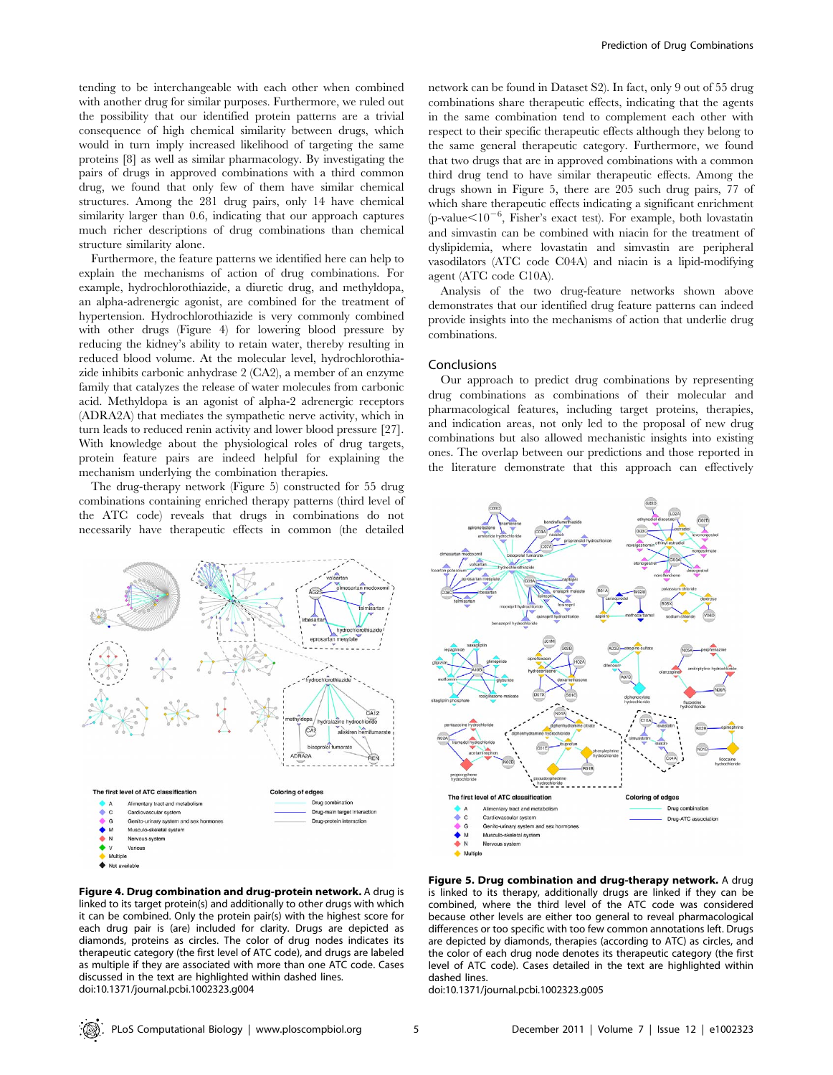tending to be interchangeable with each other when combined with another drug for similar purposes. Furthermore, we ruled out the possibility that our identified protein patterns are a trivial consequence of high chemical similarity between drugs, which would in turn imply increased likelihood of targeting the same proteins [8] as well as similar pharmacology. By investigating the pairs of drugs in approved combinations with a third common drug, we found that only few of them have similar chemical structures. Among the 281 drug pairs, only 14 have chemical similarity larger than 0.6, indicating that our approach captures much richer descriptions of drug combinations than chemical structure similarity alone.

Furthermore, the feature patterns we identified here can help to explain the mechanisms of action of drug combinations. For example, hydrochlorothiazide, a diuretic drug, and methyldopa, an alpha-adrenergic agonist, are combined for the treatment of hypertension. Hydrochlorothiazide is very commonly combined with other drugs (Figure 4) for lowering blood pressure by reducing the kidney's ability to retain water, thereby resulting in reduced blood volume. At the molecular level, hydrochlorothiazide inhibits carbonic anhydrase 2 (CA2), a member of an enzyme family that catalyzes the release of water molecules from carbonic acid. Methyldopa is an agonist of alpha-2 adrenergic receptors (ADRA2A) that mediates the sympathetic nerve activity, which in turn leads to reduced renin activity and lower blood pressure [27]. With knowledge about the physiological roles of drug targets, protein feature pairs are indeed helpful for explaining the mechanism underlying the combination therapies.

The drug-therapy network (Figure 5) constructed for 55 drug combinations containing enriched therapy patterns (third level of the ATC code) reveals that drugs in combinations do not necessarily have therapeutic effects in common (the detailed



Figure 4. Drug combination and drug-protein network. A drug is linked to its target protein(s) and additionally to other drugs with which it can be combined. Only the protein pair(s) with the highest score for each drug pair is (are) included for clarity. Drugs are depicted as diamonds, proteins as circles. The color of drug nodes indicates its therapeutic category (the first level of ATC code), and drugs are labeled as multiple if they are associated with more than one ATC code. Cases discussed in the text are highlighted within dashed lines. doi:10.1371/journal.pcbi.1002323.g004

network can be found in Dataset S2). In fact, only 9 out of 55 drug combinations share therapeutic effects, indicating that the agents in the same combination tend to complement each other with respect to their specific therapeutic effects although they belong to the same general therapeutic category. Furthermore, we found that two drugs that are in approved combinations with a common third drug tend to have similar therapeutic effects. Among the drugs shown in Figure 5, there are 205 such drug pairs, 77 of which share therapeutic effects indicating a significant enrichment  $(p\n-value<10^{-6}$ , Fisher's exact test). For example, both lovastatin and simvastin can be combined with niacin for the treatment of dyslipidemia, where lovastatin and simvastin are peripheral vasodilators (ATC code C04A) and niacin is a lipid-modifying agent (ATC code C10A).

Analysis of the two drug-feature networks shown above demonstrates that our identified drug feature patterns can indeed provide insights into the mechanisms of action that underlie drug combinations.

#### Conclusions

Our approach to predict drug combinations by representing drug combinations as combinations of their molecular and pharmacological features, including target proteins, therapies, and indication areas, not only led to the proposal of new drug combinations but also allowed mechanistic insights into existing ones. The overlap between our predictions and those reported in the literature demonstrate that this approach can effectively



Figure 5. Drug combination and drug-therapy network. A drug is linked to its therapy, additionally drugs are linked if they can be combined, where the third level of the ATC code was considered because other levels are either too general to reveal pharmacological differences or too specific with too few common annotations left. Drugs are depicted by diamonds, therapies (according to ATC) as circles, and the color of each drug node denotes its therapeutic category (the first level of ATC code). Cases detailed in the text are highlighted within dashed lines.

doi:10.1371/journal.pcbi.1002323.g005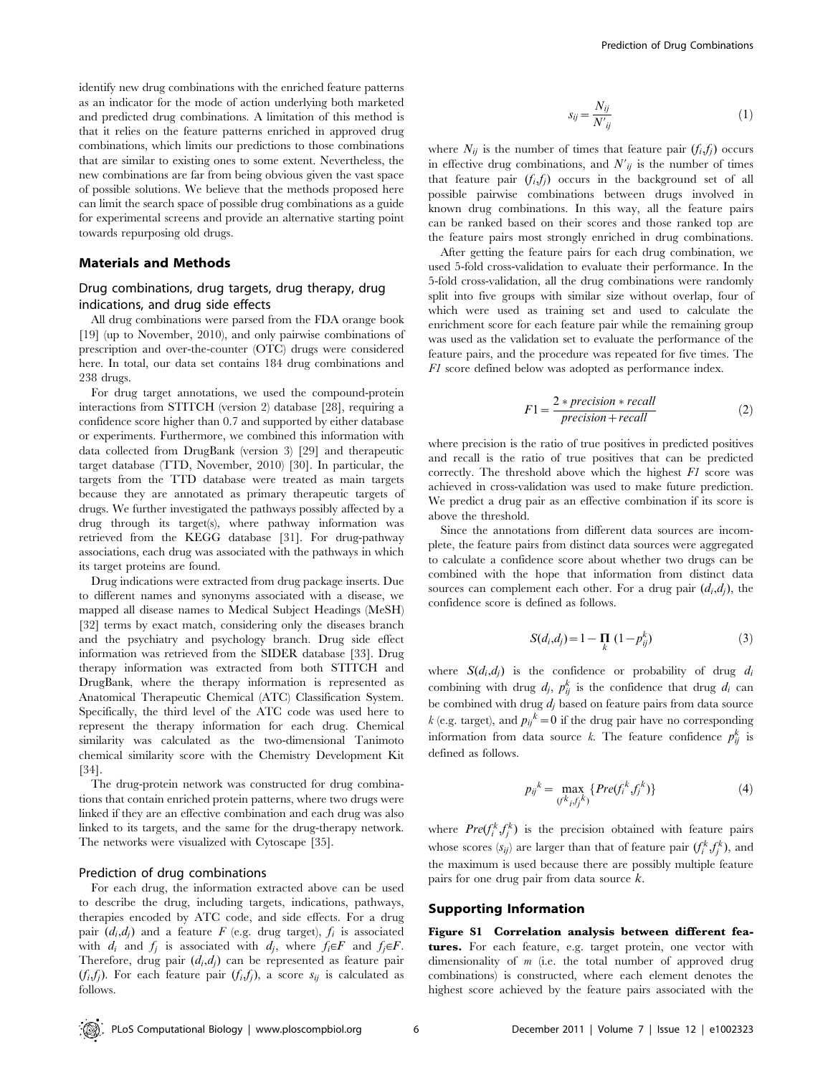identify new drug combinations with the enriched feature patterns as an indicator for the mode of action underlying both marketed and predicted drug combinations. A limitation of this method is that it relies on the feature patterns enriched in approved drug combinations, which limits our predictions to those combinations that are similar to existing ones to some extent. Nevertheless, the new combinations are far from being obvious given the vast space of possible solutions. We believe that the methods proposed here can limit the search space of possible drug combinations as a guide for experimental screens and provide an alternative starting point towards repurposing old drugs.

#### Materials and Methods

## Drug combinations, drug targets, drug therapy, drug indications, and drug side effects

All drug combinations were parsed from the FDA orange book [19] (up to November, 2010), and only pairwise combinations of prescription and over-the-counter (OTC) drugs were considered here. In total, our data set contains 184 drug combinations and 238 drugs.

For drug target annotations, we used the compound-protein interactions from STITCH (version 2) database [28], requiring a confidence score higher than 0.7 and supported by either database or experiments. Furthermore, we combined this information with data collected from DrugBank (version 3) [29] and therapeutic target database (TTD, November, 2010) [30]. In particular, the targets from the TTD database were treated as main targets because they are annotated as primary therapeutic targets of drugs. We further investigated the pathways possibly affected by a drug through its target(s), where pathway information was retrieved from the KEGG database [31]. For drug-pathway associations, each drug was associated with the pathways in which its target proteins are found.

Drug indications were extracted from drug package inserts. Due to different names and synonyms associated with a disease, we mapped all disease names to Medical Subject Headings (MeSH) [32] terms by exact match, considering only the diseases branch and the psychiatry and psychology branch. Drug side effect information was retrieved from the SIDER database [33]. Drug therapy information was extracted from both STITCH and DrugBank, where the therapy information is represented as Anatomical Therapeutic Chemical (ATC) Classification System. Specifically, the third level of the ATC code was used here to represent the therapy information for each drug. Chemical similarity was calculated as the two-dimensional Tanimoto chemical similarity score with the Chemistry Development Kit [34].

The drug-protein network was constructed for drug combinations that contain enriched protein patterns, where two drugs were linked if they are an effective combination and each drug was also linked to its targets, and the same for the drug-therapy network. The networks were visualized with Cytoscape [35].

#### Prediction of drug combinations

For each drug, the information extracted above can be used to describe the drug, including targets, indications, pathways, therapies encoded by ATC code, and side effects. For a drug pair  $(d_i, d_j)$  and a feature F (e.g. drug target),  $f_i$  is associated with  $d_i$  and  $f_j$  is associated with  $d_j$ , where  $f_i \in F$  and  $f_j \in F$ . Therefore, drug pair  $(d_i, d_j)$  can be represented as feature pair  $(f_i, f_j)$ . For each feature pair  $(f_i, f_j)$ , a score  $s_{ij}$  is calculated as follows.

$$
s_{ij} = \frac{N_{ij}}{N'_{ij}}\tag{1}
$$

where  $N_{ij}$  is the number of times that feature pair  $(f_i, f_j)$  occurs in effective drug combinations, and  $N'_{ij}$  is the number of times that feature pair  $(f_i, f_j)$  occurs in the background set of all possible pairwise combinations between drugs involved in known drug combinations. In this way, all the feature pairs can be ranked based on their scores and those ranked top are the feature pairs most strongly enriched in drug combinations.

After getting the feature pairs for each drug combination, we used 5-fold cross-validation to evaluate their performance. In the 5-fold cross-validation, all the drug combinations were randomly split into five groups with similar size without overlap, four of which were used as training set and used to calculate the enrichment score for each feature pair while the remaining group was used as the validation set to evaluate the performance of the feature pairs, and the procedure was repeated for five times. The F1 score defined below was adopted as performance index.

$$
F1 = \frac{2 * precision * recall}{precision + recall}
$$
 (2)

where precision is the ratio of true positives in predicted positives and recall is the ratio of true positives that can be predicted correctly. The threshold above which the highest F1 score was achieved in cross-validation was used to make future prediction. We predict a drug pair as an effective combination if its score is above the threshold.

Since the annotations from different data sources are incomplete, the feature pairs from distinct data sources were aggregated to calculate a confidence score about whether two drugs can be combined with the hope that information from distinct data sources can complement each other. For a drug pair  $(d_i, d_j)$ , the confidence score is defined as follows.

$$
S(d_i, d_j) = 1 - \prod_k (1 - p_{ij}^k)
$$
 (3)

where  $S(d_i, d_j)$  is the confidence or probability of drug  $d_i$ combining with drug  $d_j$ ,  $p_{ij}^k$  is the confidence that drug  $d_i$  can be combined with drug  $d_i$  based on feature pairs from data source k (e.g. target), and  $p_{ij}^k = 0$  if the drug pair have no corresponding information from data source k. The feature confidence  $p_{ij}^k$  is defined as follows.

$$
p_{ij}^{k} = \max_{(f^{k}, f^{k})} \{ Pre(f^{k}_{i}, f^{k}_{j}) \}
$$
 (4)

where  $Pre(f_i^k f_j^k)$  is the precision obtained with feature pairs whose scores  $(s_{ij})$  are larger than that of feature pair  $(f_i^k, f_j^k)$ , and the maximum is used because there are possibly multiple feature pairs for one drug pair from data source k.

#### Supporting Information

Figure S1 Correlation analysis between different features. For each feature, e.g. target protein, one vector with dimensionality of  $m$  (i.e. the total number of approved drug combinations) is constructed, where each element denotes the highest score achieved by the feature pairs associated with the